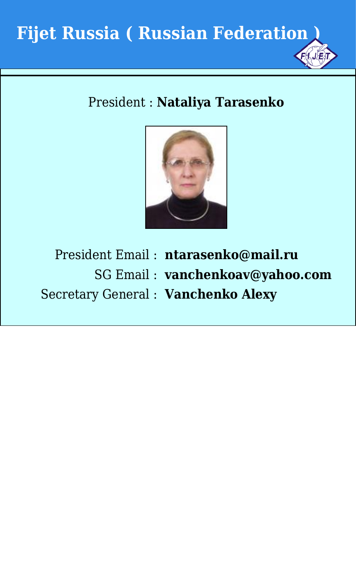

#### President : **Nataliya Tarasenko**



President Email : **ntarasenko@mail.ru** SG Email : **vanchenkoav@yahoo.com** Secretary General : **Vanchenko Alexy**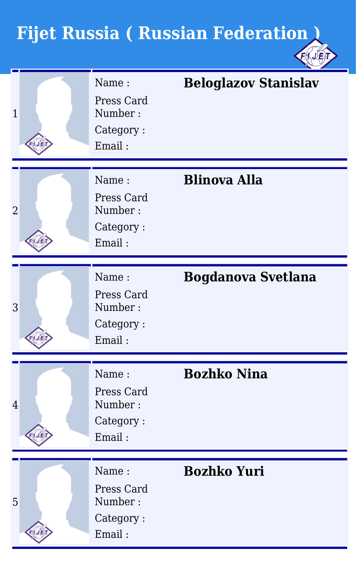| $\mathbf{1}$   | Name:<br>Press Card<br>Number:<br>Category:<br>Email: | <b>Beloglazov Stanislav</b> |
|----------------|-------------------------------------------------------|-----------------------------|
|                |                                                       |                             |
| $\overline{2}$ | Name:<br>Press Card<br>Number:<br>Category:<br>Email: | <b>Blinova Alla</b>         |
|                |                                                       |                             |
| 3              | Name:<br>Press Card<br>Number:<br>Category:<br>Email: | <b>Bogdanova Svetlana</b>   |
|                |                                                       |                             |
| $\overline{4}$ | Name:<br>Press Card<br>Number:<br>Category:<br>Email: | <b>Bozhko Nina</b>          |
|                |                                                       |                             |
| 5              | Name:<br>Press Card<br>Number:<br>Category:<br>Email: | <b>Bozhko Yuri</b>          |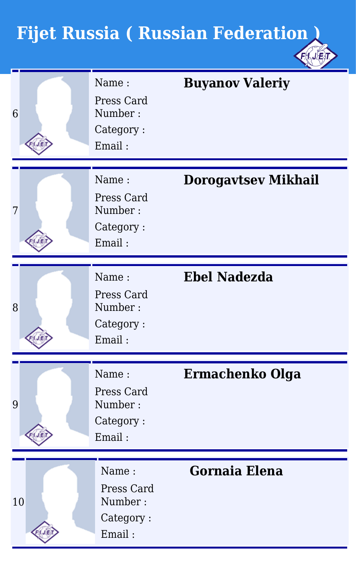| 6  | Name:<br>Press Card<br>Number:<br>Category:<br>Email: | <b>Buyanov Valeriy</b>     |
|----|-------------------------------------------------------|----------------------------|
|    |                                                       |                            |
| 7  | Name:<br>Press Card<br>Number:<br>Category:<br>Email: | <b>Dorogavtsev Mikhail</b> |
|    |                                                       |                            |
| 8  | Name:<br>Press Card<br>Number:<br>Category:<br>Email: | <b>Ebel Nadezda</b>        |
|    |                                                       |                            |
| 9  | Name:<br>Press Card<br>Number:<br>Category:<br>Email: | Ermachenko Olga            |
|    |                                                       |                            |
| 10 | Name:<br>Press Card<br>Number:<br>Category:<br>Email: | <b>Gornaia Elena</b>       |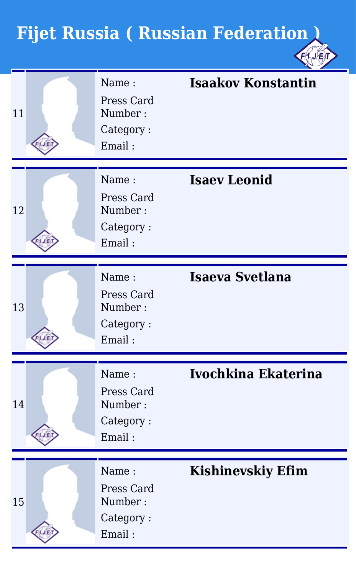| 11 | Name:<br>Press Card<br>Number:<br>Category:<br>Email: | <b>Isaakov Konstantin</b> |
|----|-------------------------------------------------------|---------------------------|
|    |                                                       |                           |
| 12 | Name:<br>Press Card<br>Number:<br>Category:<br>Email: | <b>Isaev Leonid</b>       |
|    |                                                       |                           |
| 13 | Name:<br>Press Card<br>Number:<br>Category:<br>Email: | Isaeva Svetlana           |
|    |                                                       |                           |
| 14 | Name:<br>Press Card<br>Number:<br>Category:<br>Email: | Ivochkina Ekaterina       |
|    |                                                       |                           |
| 15 | Name:<br>Press Card<br>Number:<br>Category:<br>Email: | <b>Kishinevskiy Efim</b>  |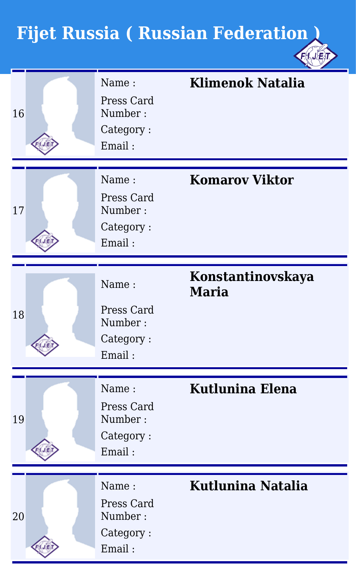| 16 | Name:<br>Press Card<br>Number:<br>Category:<br>Email: | <b>Klimenok Natalia</b>           |
|----|-------------------------------------------------------|-----------------------------------|
| 17 | Name:<br>Press Card<br>Number:<br>Category:<br>Email: | <b>Komarov Viktor</b>             |
| 18 | Name:<br>Press Card<br>Number:<br>Category:<br>Email: | Konstantinovskaya<br><b>Maria</b> |
| 19 | Name:<br>Press Card<br>Number:<br>Category:<br>Email: | <b>Kutlunina Elena</b>            |
| 20 | Name:<br>Press Card<br>Number:<br>Category:<br>Email: | Kutlunina Natalia                 |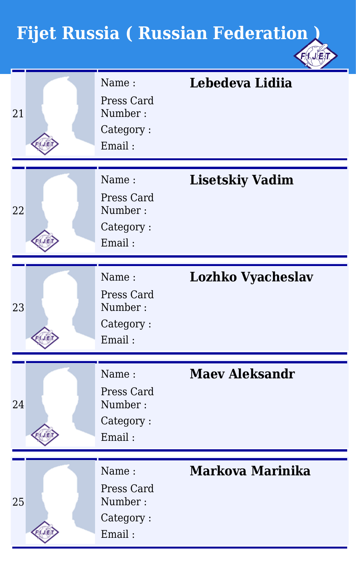| 21 | Name:<br>Press Card<br>Number:<br>Category:<br>Email: | Lebedeva Lidiia          |
|----|-------------------------------------------------------|--------------------------|
|    |                                                       |                          |
| 22 | Name:<br>Press Card<br>Number:<br>Category:<br>Email: | <b>Lisetskiy Vadim</b>   |
|    |                                                       |                          |
| 23 | Name:<br>Press Card<br>Number:<br>Category:<br>Email: | <b>Lozhko Vyacheslav</b> |
|    |                                                       |                          |
| 24 | Name:<br>Press Card<br>Number:<br>Category:<br>Email: | <b>Maey Aleksandr</b>    |
|    |                                                       |                          |
| 25 | Name:<br>Press Card<br>Number:<br>Category:<br>Email: | Markova Marinika         |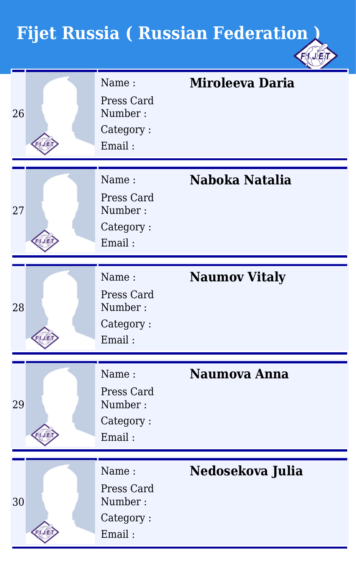| 26 | Name:<br>Press Card<br>Number:<br>Category:<br>Email: | <b>Miroleeva Daria</b> |
|----|-------------------------------------------------------|------------------------|
|    |                                                       |                        |
| 27 | Name:<br>Press Card<br>Number:<br>Category:<br>Email: | Naboka Natalia         |
|    |                                                       |                        |
| 28 | Name:<br>Press Card<br>Number:<br>Category:<br>Email: | <b>Naumov Vitaly</b>   |
|    |                                                       |                        |
| 29 | Name:<br>Press Card<br>Number:<br>Category:<br>Email: | Naumova Anna           |
|    |                                                       |                        |
| 30 | Name:<br>Press Card<br>Number:<br>Category:<br>Email: | Nedosekova Julia       |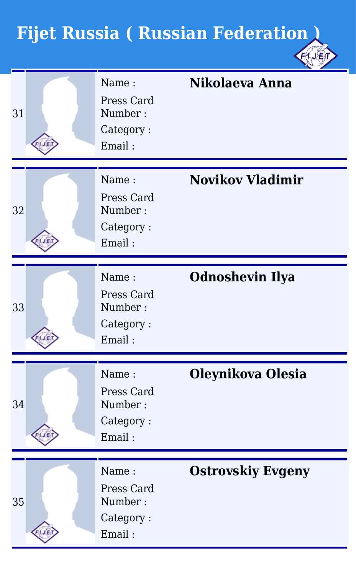| 31 | Name:<br>Press Card<br>Number:<br>Category:<br>Email: | Nikolaeva Anna           |
|----|-------------------------------------------------------|--------------------------|
|    |                                                       |                          |
| 32 | Name:<br>Press Card<br>Number:<br>Category:<br>Email: | <b>Novikov Vladimir</b>  |
|    |                                                       |                          |
| 33 | Name:<br>Press Card<br>Number:<br>Category:<br>Email: | <b>Odnoshevin Ilya</b>   |
|    |                                                       |                          |
| 34 | Name:<br>Press Card<br>Number:<br>Category:<br>Email: | Oleynikova Olesia        |
|    |                                                       |                          |
| 35 | Name:<br>Press Card<br>Number:<br>Category:<br>Email: | <b>Ostrovskiy Evgeny</b> |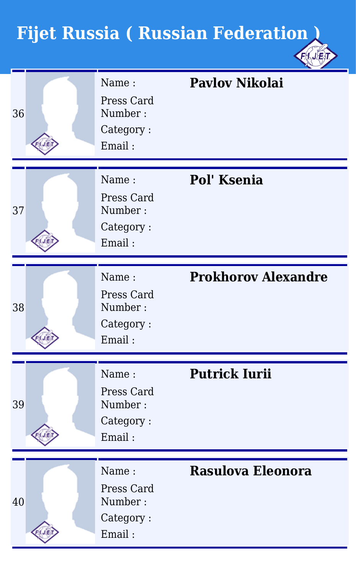| 36 | Name:<br>Press Card<br>Number:<br>Category:<br>Email: | <b>Pavlov Nikolai</b>      |
|----|-------------------------------------------------------|----------------------------|
|    |                                                       |                            |
| 37 | Name:<br>Press Card<br>Number:<br>Category:<br>Email: | Pol' Ksenia                |
|    |                                                       |                            |
| 38 | Name:<br>Press Card<br>Number:<br>Category:<br>Email: | <b>Prokhorov Alexandre</b> |
|    |                                                       |                            |
| 39 | Name:<br>Press Card<br>Number:<br>Category:<br>Email: | <b>Putrick Iurii</b>       |
|    |                                                       |                            |
| 40 | Name:<br>Press Card<br>Number:<br>Category:<br>Email: | <b>Rasulova Eleonora</b>   |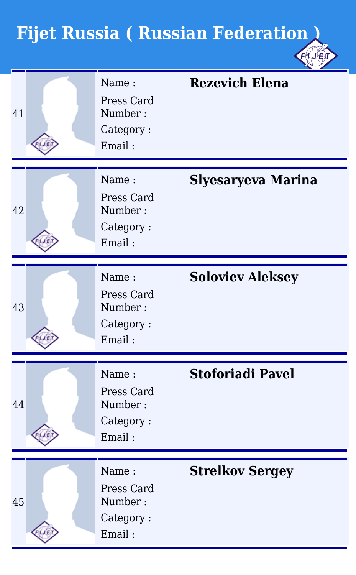| 41 | Name:<br>Press Card<br>Number:<br>Category:<br>Email: | <b>Rezevich Elena</b>     |
|----|-------------------------------------------------------|---------------------------|
|    |                                                       |                           |
| 42 | Name:<br>Press Card<br>Number:<br>Category:<br>Email: | <b>Slyesaryeva Marina</b> |
|    |                                                       |                           |
| 43 | Name:<br>Press Card<br>Number:<br>Category:<br>Email: | <b>Soloviev Aleksey</b>   |
|    |                                                       |                           |
| 44 | Name:<br>Press Card<br>Number:<br>Category:<br>Email: | <b>Stoforiadi Pavel</b>   |
|    |                                                       |                           |
| 45 | Name:<br>Press Card<br>Number:<br>Category:<br>Email: | <b>Strelkov Sergey</b>    |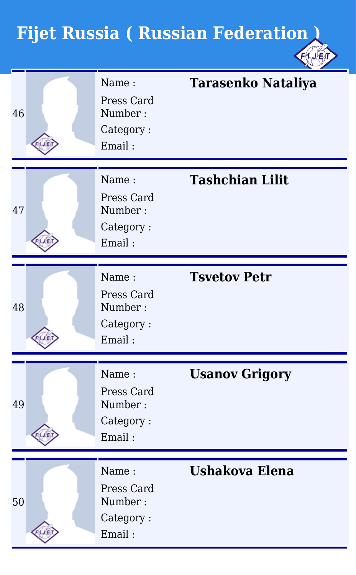| 46 | Name:<br>Press Card<br>Number:<br>Category:<br>Email: | <b>Tarasenko Nataliya</b> |
|----|-------------------------------------------------------|---------------------------|
|    |                                                       |                           |
| 47 | Name:<br>Press Card<br>Number:<br>Category:<br>Email: | <b>Tashchian Lilit</b>    |
|    |                                                       |                           |
| 48 | Name:<br>Press Card<br>Number:<br>Category:<br>Email: | <b>Tsvetov Petr</b>       |
|    |                                                       |                           |
| 49 | Name:<br>Press Card<br>Number:<br>Category:<br>Email: | <b>Usanov Grigory</b>     |
|    |                                                       |                           |
| 50 | Name:<br>Press Card<br>Number:<br>Category:<br>Email: | <b>Ushakova Elena</b>     |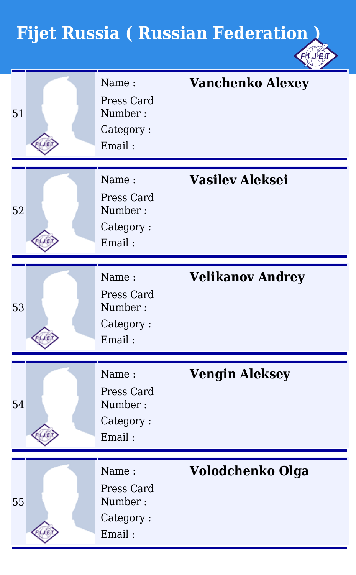| 51 | Name:<br>Press Card<br>Number:<br>Category:<br>Email: | <b>Vanchenko Alexey</b> |
|----|-------------------------------------------------------|-------------------------|
|    |                                                       |                         |
| 52 | Name:<br>Press Card<br>Number:<br>Category:<br>Email: | <b>Vasilev Aleksei</b>  |
|    |                                                       |                         |
| 53 | Name:<br>Press Card<br>Number:<br>Category:<br>Email: | <b>Velikanov Andrey</b> |
|    |                                                       |                         |
| 54 | Name:<br>Press Card<br>Number:<br>Category:<br>Email: | <b>Vengin Aleksey</b>   |
|    |                                                       |                         |
| 55 | Name:<br>Press Card<br>Number:<br>Category:<br>Email: | Volodchenko Olga        |